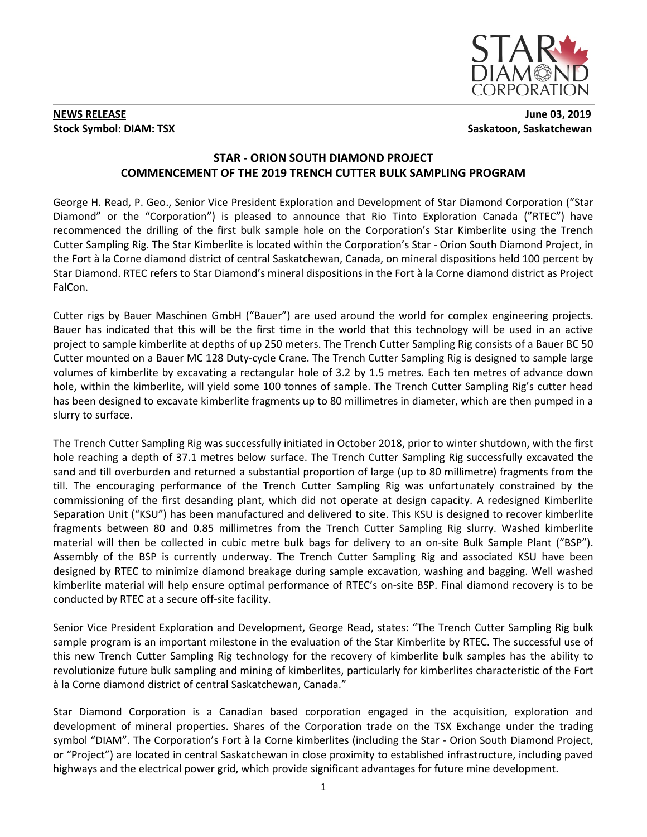

#### **NEWS RELEASE** June 03, 2019 **Stock Symbol: DIAM: TSX** Saskatoon, Saskatchewan

## **STAR - ORION SOUTH DIAMOND PROJECT COMMENCEMENT OF THE 2019 TRENCH CUTTER BULK SAMPLING PROGRAM**

George H. Read, P. Geo., Senior Vice President Exploration and Development of Star Diamond Corporation ("Star Diamond" or the "Corporation") is pleased to announce that Rio Tinto Exploration Canada ("RTEC") have recommenced the drilling of the first bulk sample hole on the Corporation's Star Kimberlite using the Trench Cutter Sampling Rig. The Star Kimberlite is located within the Corporation's Star - Orion South Diamond Project, in the Fort à la Corne diamond district of central Saskatchewan, Canada, on mineral dispositions held 100 percent by Star Diamond. RTEC refers to Star Diamond's mineral dispositions in the Fort à la Corne diamond district as Project FalCon.

Cutter rigs by Bauer Maschinen GmbH ("Bauer") are used around the world for complex engineering projects. Bauer has indicated that this will be the first time in the world that this technology will be used in an active project to sample kimberlite at depths of up 250 meters. The Trench Cutter Sampling Rig consists of a Bauer BC 50 Cutter mounted on a Bauer MC 128 Duty-cycle Crane. The Trench Cutter Sampling Rig is designed to sample large volumes of kimberlite by excavating a rectangular hole of 3.2 by 1.5 metres. Each ten metres of advance down hole, within the kimberlite, will yield some 100 tonnes of sample. The Trench Cutter Sampling Rig's cutter head has been designed to excavate kimberlite fragments up to 80 millimetres in diameter, which are then pumped in a slurry to surface.

The Trench Cutter Sampling Rig was successfully initiated in October 2018, prior to winter shutdown, with the first hole reaching a depth of 37.1 metres below surface. The Trench Cutter Sampling Rig successfully excavated the sand and till overburden and returned a substantial proportion of large (up to 80 millimetre) fragments from the till. The encouraging performance of the Trench Cutter Sampling Rig was unfortunately constrained by the commissioning of the first desanding plant, which did not operate at design capacity. A redesigned Kimberlite Separation Unit ("KSU") has been manufactured and delivered to site. This KSU is designed to recover kimberlite fragments between 80 and 0.85 millimetres from the Trench Cutter Sampling Rig slurry. Washed kimberlite material will then be collected in cubic metre bulk bags for delivery to an on-site Bulk Sample Plant ("BSP"). Assembly of the BSP is currently underway. The Trench Cutter Sampling Rig and associated KSU have been designed by RTEC to minimize diamond breakage during sample excavation, washing and bagging. Well washed kimberlite material will help ensure optimal performance of RTEC's on-site BSP. Final diamond recovery is to be conducted by RTEC at a secure off-site facility.

Senior Vice President Exploration and Development, George Read, states: "The Trench Cutter Sampling Rig bulk sample program is an important milestone in the evaluation of the Star Kimberlite by RTEC. The successful use of this new Trench Cutter Sampling Rig technology for the recovery of kimberlite bulk samples has the ability to revolutionize future bulk sampling and mining of kimberlites, particularly for kimberlites characteristic of the Fort à la Corne diamond district of central Saskatchewan, Canada."

Star Diamond Corporation is a Canadian based corporation engaged in the acquisition, exploration and development of mineral properties. Shares of the Corporation trade on the TSX Exchange under the trading symbol "DIAM". The Corporation's Fort à la Corne kimberlites (including the Star - Orion South Diamond Project, or "Project") are located in central Saskatchewan in close proximity to established infrastructure, including paved highways and the electrical power grid, which provide significant advantages for future mine development.